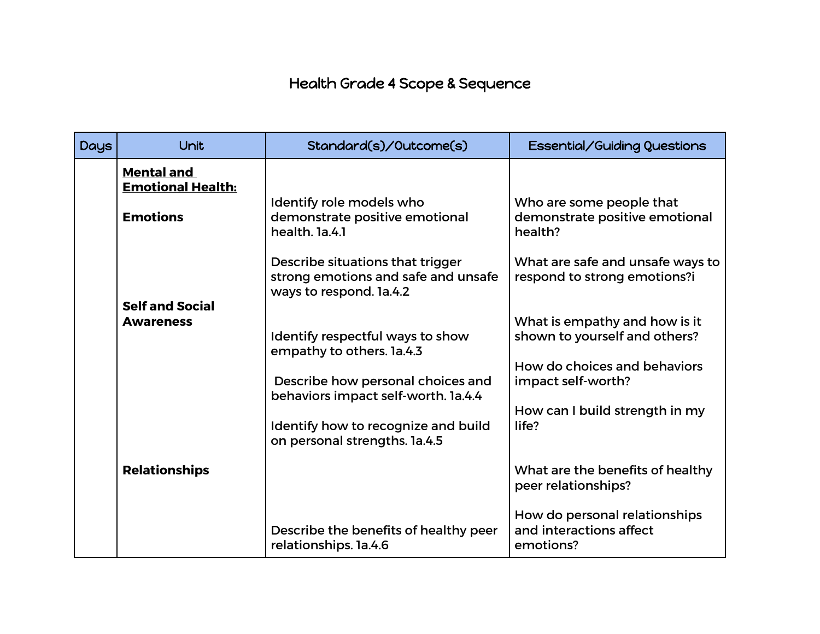## Health Grade 4 Scope & Sequence

| <b>Days</b> | Unit                                          | Standard(s)/Outcome(s)                                                                             | <b>Essential/Guiding Questions</b>                                    |
|-------------|-----------------------------------------------|----------------------------------------------------------------------------------------------------|-----------------------------------------------------------------------|
|             | <b>Mental and</b><br><b>Emotional Health:</b> |                                                                                                    |                                                                       |
|             | <b>Emotions</b>                               | Identify role models who<br>demonstrate positive emotional<br>health. Ia.4.1                       | Who are some people that<br>demonstrate positive emotional<br>health? |
|             |                                               | Describe situations that trigger<br>strong emotions and safe and unsafe<br>ways to respond. la.4.2 | What are safe and unsafe ways to<br>respond to strong emotions?i      |
|             | <b>Self and Social</b><br><b>Awareness</b>    |                                                                                                    | What is empathy and how is it                                         |
|             |                                               | Identify respectful ways to show<br>empathy to others. la.4.3                                      | shown to yourself and others?                                         |
|             |                                               | Describe how personal choices and<br>behaviors impact self-worth. 1a.4.4                           | How do choices and behaviors<br>impact self-worth?                    |
|             |                                               | Identify how to recognize and build<br>on personal strengths. 1a.4.5                               | How can I build strength in my<br>life?                               |
|             | <b>Relationships</b>                          |                                                                                                    | What are the benefits of healthy<br>peer relationships?               |
|             |                                               | Describe the benefits of healthy peer<br>relationships. 1a.4.6                                     | How do personal relationships<br>and interactions affect<br>emotions? |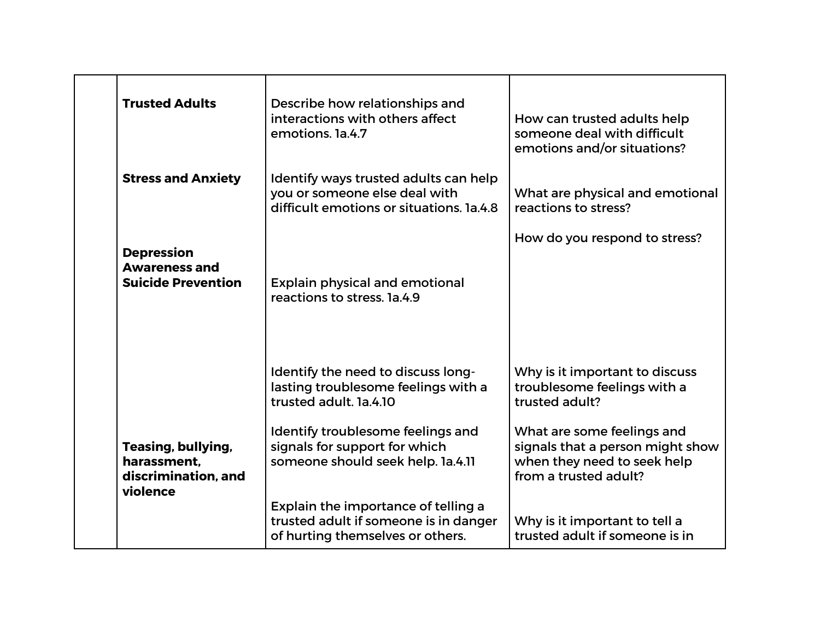| <b>Trusted Adults</b>                                                  | Describe how relationships and<br>interactions with others affect<br>emotions. 1a.4.7                              | How can trusted adults help<br>someone deal with difficult<br>emotions and/or situations?                              |
|------------------------------------------------------------------------|--------------------------------------------------------------------------------------------------------------------|------------------------------------------------------------------------------------------------------------------------|
| <b>Stress and Anxiety</b>                                              | Identify ways trusted adults can help<br>you or someone else deal with<br>difficult emotions or situations. 1a.4.8 | What are physical and emotional<br>reactions to stress?                                                                |
|                                                                        |                                                                                                                    | How do you respond to stress?                                                                                          |
| <b>Depression</b><br><b>Awareness and</b><br><b>Suicide Prevention</b> | <b>Explain physical and emotional</b><br>reactions to stress, 1a.4.9                                               |                                                                                                                        |
|                                                                        | Identify the need to discuss long-<br>lasting troublesome feelings with a<br>trusted adult. 1a.4.10                | Why is it important to discuss<br>troublesome feelings with a<br>trusted adult?                                        |
| Teasing, bullying,<br>harassment.<br>discrimination, and<br>violence   | Identify troublesome feelings and<br>signals for support for which<br>someone should seek help. la.4.11            | What are some feelings and<br>signals that a person might show<br>when they need to seek help<br>from a trusted adult? |
|                                                                        | Explain the importance of telling a<br>trusted adult if someone is in danger<br>of hurting themselves or others.   | Why is it important to tell a<br>trusted adult if someone is in                                                        |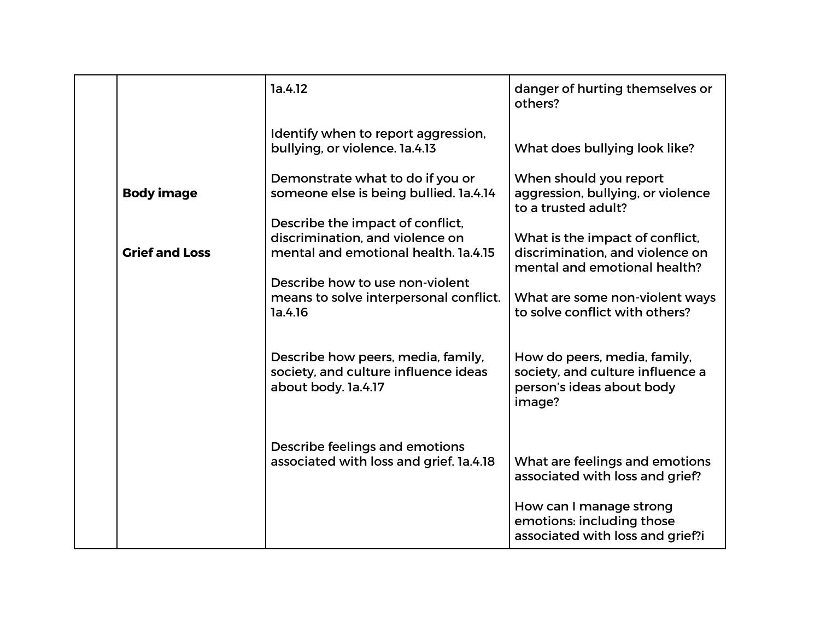|                       | 1a.4.12                                                                                                     | danger of hurting themselves or<br>others?                                                              |
|-----------------------|-------------------------------------------------------------------------------------------------------------|---------------------------------------------------------------------------------------------------------|
|                       | Identify when to report aggression,<br>bullying, or violence. 1a.4.13                                       | What does bullying look like?                                                                           |
| <b>Body image</b>     | Demonstrate what to do if you or<br>someone else is being bullied. 1a.4.14                                  | When should you report<br>aggression, bullying, or violence<br>to a trusted adult?                      |
| <b>Grief and Loss</b> | Describe the impact of conflict,<br>discrimination, and violence on<br>mental and emotional health. 1a.4.15 | What is the impact of conflict,<br>discrimination, and violence on<br>mental and emotional health?      |
|                       | Describe how to use non-violent<br>means to solve interpersonal conflict.<br>1a.4.16                        | What are some non-violent ways<br>to solve conflict with others?                                        |
|                       | Describe how peers, media, family,<br>society, and culture influence ideas<br>about body. la.4.17           | How do peers, media, family,<br>society, and culture influence a<br>person's ideas about body<br>image? |
|                       | Describe feelings and emotions<br>associated with loss and grief. 1a.4.18                                   | What are feelings and emotions<br>associated with loss and grief?                                       |
|                       |                                                                                                             | How can I manage strong<br>emotions: including those<br>associated with loss and grief?i                |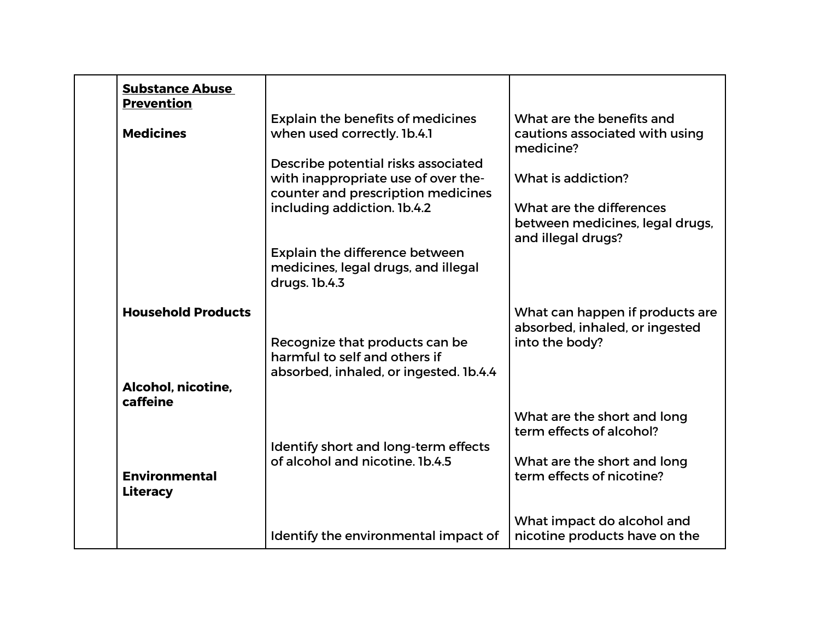| <b>Substance Abuse</b><br><b>Prevention</b><br><b>Medicines</b> | <b>Explain the benefits of medicines</b><br>when used correctly. 1b.4.1<br>Describe potential risks associated<br>with inappropriate use of over the-<br>counter and prescription medicines<br>including addiction. 1b.4.2<br>Explain the difference between | What are the benefits and<br>cautions associated with using<br>medicine?<br>What is addiction?<br>What are the differences<br>between medicines, legal drugs,<br>and illegal drugs? |
|-----------------------------------------------------------------|--------------------------------------------------------------------------------------------------------------------------------------------------------------------------------------------------------------------------------------------------------------|-------------------------------------------------------------------------------------------------------------------------------------------------------------------------------------|
|                                                                 | medicines, legal drugs, and illegal<br>drugs. 1b.4.3                                                                                                                                                                                                         |                                                                                                                                                                                     |
| <b>Household Products</b>                                       | Recognize that products can be<br>harmful to self and others if<br>absorbed, inhaled, or ingested. 1b.4.4                                                                                                                                                    | What can happen if products are<br>absorbed, inhaled, or ingested<br>into the body?                                                                                                 |
| Alcohol, nicotine,<br>caffeine                                  |                                                                                                                                                                                                                                                              |                                                                                                                                                                                     |
|                                                                 | Identify short and long-term effects                                                                                                                                                                                                                         | What are the short and long<br>term effects of alcohol?                                                                                                                             |
| <b>Environmental</b><br><b>Literacy</b>                         | of alcohol and nicotine. 1b.4.5                                                                                                                                                                                                                              | What are the short and long<br>term effects of nicotine?                                                                                                                            |
|                                                                 | Identify the environmental impact of                                                                                                                                                                                                                         | What impact do alcohol and<br>nicotine products have on the                                                                                                                         |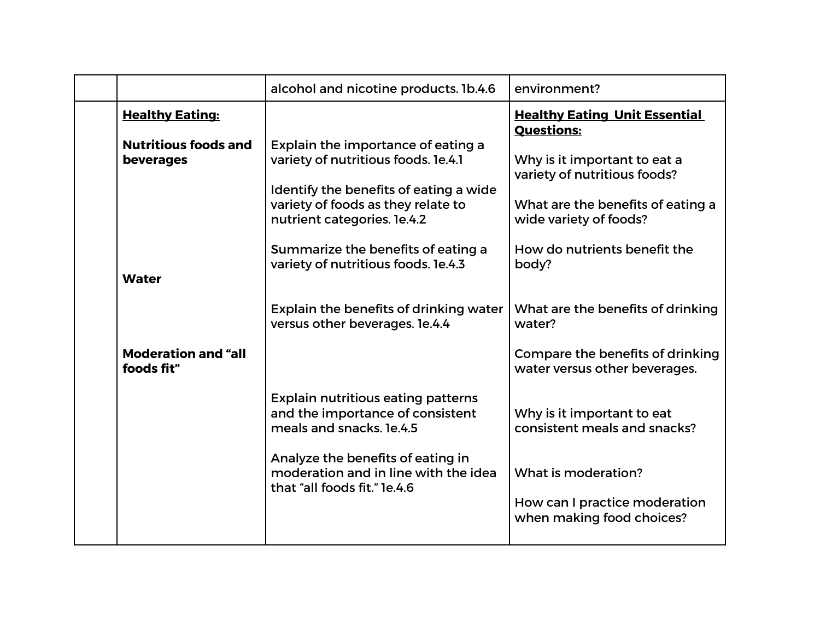|                                                                 | alcohol and nicotine products. 1b.4.6                                                                                                                                                                                                                                 | environment?                                                                                                                                                         |
|-----------------------------------------------------------------|-----------------------------------------------------------------------------------------------------------------------------------------------------------------------------------------------------------------------------------------------------------------------|----------------------------------------------------------------------------------------------------------------------------------------------------------------------|
| <b>Healthy Eating:</b>                                          |                                                                                                                                                                                                                                                                       | <b>Healthy Eating Unit Essential</b><br><b>Questions:</b>                                                                                                            |
| <b>Nutritious foods and</b><br><b>beverages</b><br><b>Water</b> | Explain the importance of eating a<br>variety of nutritious foods. le.4.1<br>Identify the benefits of eating a wide<br>variety of foods as they relate to<br>nutrient categories. le.4.2<br>Summarize the benefits of eating a<br>variety of nutritious foods. le.4.3 | Why is it important to eat a<br>variety of nutritious foods?<br>What are the benefits of eating a<br>wide variety of foods?<br>How do nutrients benefit the<br>body? |
|                                                                 | Explain the benefits of drinking water<br>versus other beverages. 1e.4.4                                                                                                                                                                                              | What are the benefits of drinking<br>water?                                                                                                                          |
| <b>Moderation and "all</b><br>foods fit"                        |                                                                                                                                                                                                                                                                       | Compare the benefits of drinking<br>water versus other beverages.                                                                                                    |
|                                                                 | <b>Explain nutritious eating patterns</b><br>and the importance of consistent<br>meals and snacks, 1e.4.5<br>Analyze the benefits of eating in<br>moderation and in line with the idea<br>that "all foods fit." le.4.6                                                | Why is it important to eat<br>consistent meals and snacks?<br>What is moderation?<br>How can I practice moderation<br>when making food choices?                      |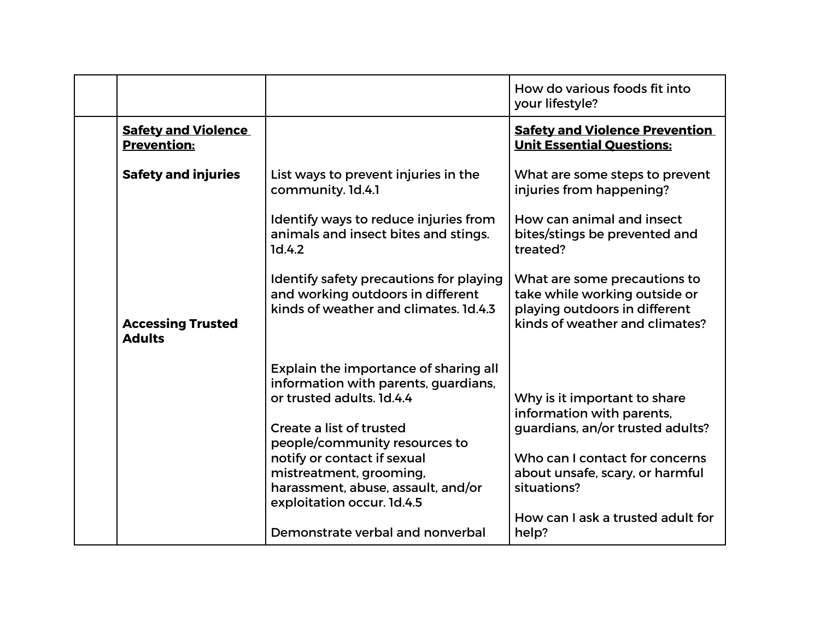|                                                  |                                                                                                                                                                                                                                                                                                                                           | How do various foods fit into<br>your lifestyle?                                                                                                                                                                                |
|--------------------------------------------------|-------------------------------------------------------------------------------------------------------------------------------------------------------------------------------------------------------------------------------------------------------------------------------------------------------------------------------------------|---------------------------------------------------------------------------------------------------------------------------------------------------------------------------------------------------------------------------------|
| <b>Safety and Violence</b><br><b>Prevention:</b> |                                                                                                                                                                                                                                                                                                                                           | <b>Safety and Violence Prevention</b><br><b>Unit Essential Questions:</b>                                                                                                                                                       |
| <b>Safety and injuries</b>                       | List ways to prevent injuries in the<br>community. 1d.4.1                                                                                                                                                                                                                                                                                 | What are some steps to prevent<br>injuries from happening?                                                                                                                                                                      |
|                                                  | Identify ways to reduce injuries from<br>animals and insect bites and stings.<br>1d.4.2                                                                                                                                                                                                                                                   | How can animal and insect<br>bites/stings be prevented and<br>treated?                                                                                                                                                          |
| <b>Accessing Trusted</b><br><b>Adults</b>        | Identify safety precautions for playing<br>and working outdoors in different<br>kinds of weather and climates. 1d.4.3                                                                                                                                                                                                                     | What are some precautions to<br>take while working outside or<br>playing outdoors in different<br>kinds of weather and climates?                                                                                                |
|                                                  | Explain the importance of sharing all<br>information with parents, guardians,<br>or trusted adults. 1d.4.4<br>Create a list of trusted<br>people/community resources to<br>notify or contact if sexual<br>mistreatment, grooming,<br>harassment, abuse, assault, and/or<br>exploitation occur. 1d.4.5<br>Demonstrate verbal and nonverbal | Why is it important to share<br>information with parents,<br>guardians, an/or trusted adults?<br>Who can I contact for concerns<br>about unsafe, scary, or harmful<br>situations?<br>How can I ask a trusted adult for<br>help? |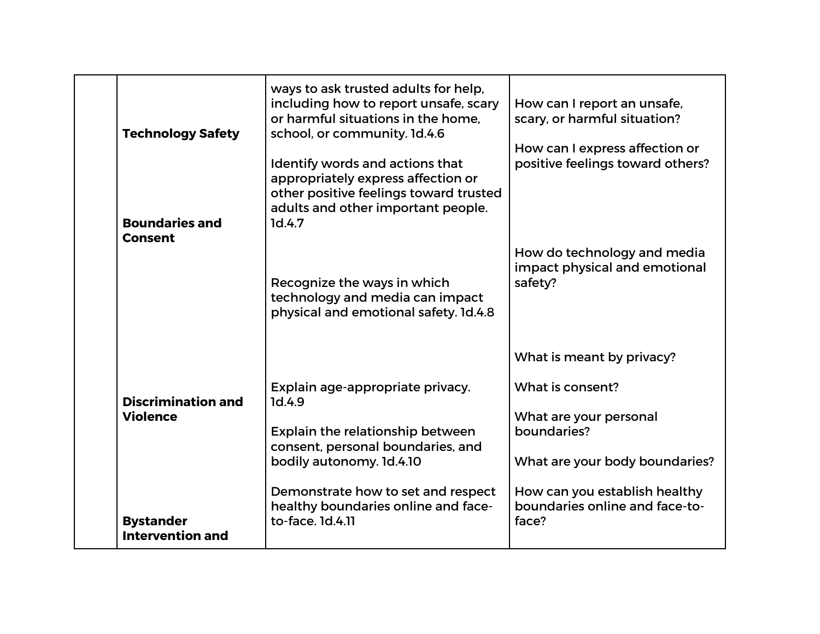| <b>Technology Safety</b><br><b>Boundaries and</b><br><b>Consent</b> | ways to ask trusted adults for help,<br>including how to report unsafe, scary<br>or harmful situations in the home.<br>school, or community. 1d.4.6<br>Identify words and actions that<br>appropriately express affection or<br>other positive feelings toward trusted<br>adults and other important people.<br>1d.4.7 | How can I report an unsafe,<br>scary, or harmful situation?<br>How can I express affection or<br>positive feelings toward others?                              |
|---------------------------------------------------------------------|------------------------------------------------------------------------------------------------------------------------------------------------------------------------------------------------------------------------------------------------------------------------------------------------------------------------|----------------------------------------------------------------------------------------------------------------------------------------------------------------|
|                                                                     | Recognize the ways in which<br>technology and media can impact<br>physical and emotional safety. 1d.4.8                                                                                                                                                                                                                | How do technology and media<br>impact physical and emotional<br>safety?<br>What is meant by privacy?                                                           |
| <b>Discrimination and</b><br><b>Violence</b>                        | Explain age-appropriate privacy.<br>1d.4.9<br>Explain the relationship between<br>consent, personal boundaries, and<br>bodily autonomy. 1d.4.10<br>Demonstrate how to set and respect<br>healthy boundaries online and face-                                                                                           | What is consent?<br>What are your personal<br>boundaries?<br>What are your body boundaries?<br>How can you establish healthy<br>boundaries online and face-to- |
| <b>Bystander</b><br><b>Intervention and</b>                         | to-face, 1d.4.11                                                                                                                                                                                                                                                                                                       | face?                                                                                                                                                          |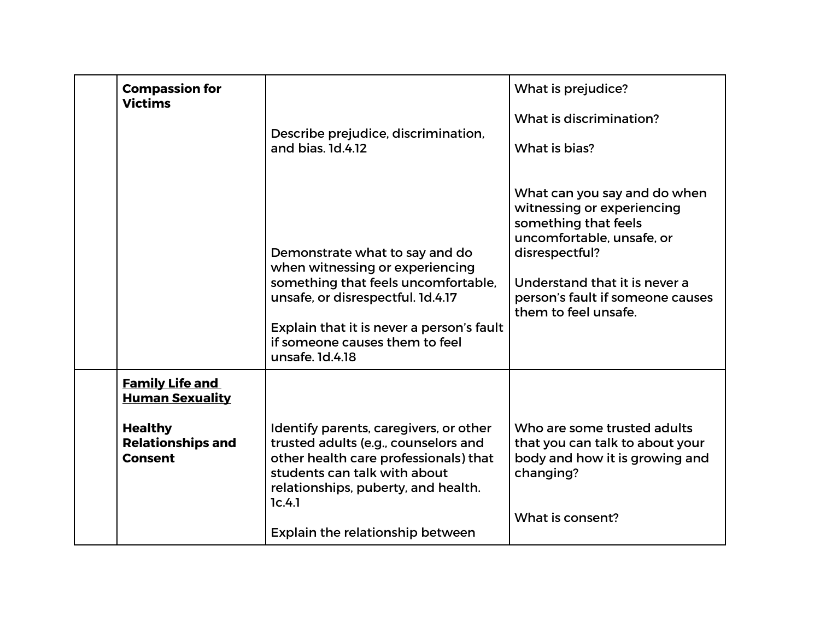| <b>Victims</b>                   | <b>Compassion for</b>                                                        | Describe prejudice, discrimination,<br>and bias, 1d.4.12                                                                                                                                                                                        | What is prejudice?<br>What is discrimination?<br>What is bias?                                                                                                                                                                 |
|----------------------------------|------------------------------------------------------------------------------|-------------------------------------------------------------------------------------------------------------------------------------------------------------------------------------------------------------------------------------------------|--------------------------------------------------------------------------------------------------------------------------------------------------------------------------------------------------------------------------------|
|                                  |                                                                              | Demonstrate what to say and do<br>when witnessing or experiencing<br>something that feels uncomfortable,<br>unsafe, or disrespectful. 1d.4.17<br>Explain that it is never a person's fault<br>if someone causes them to feel<br>unsafe, 1d.4.18 | What can you say and do when<br>witnessing or experiencing<br>something that feels<br>uncomfortable, unsafe, or<br>disrespectful?<br>Understand that it is never a<br>person's fault if someone causes<br>them to feel unsafe. |
| <b>Healthy</b><br><b>Consent</b> | <b>Family Life and</b><br><b>Human Sexuality</b><br><b>Relationships and</b> | Identify parents, caregivers, or other<br>trusted adults (e.g., counselors and<br>other health care professionals) that<br>students can talk with about<br>relationships, puberty, and health.<br>1c.4.1<br>Explain the relationship between    | Who are some trusted adults<br>that you can talk to about your<br>body and how it is growing and<br>changing?<br>What is consent?                                                                                              |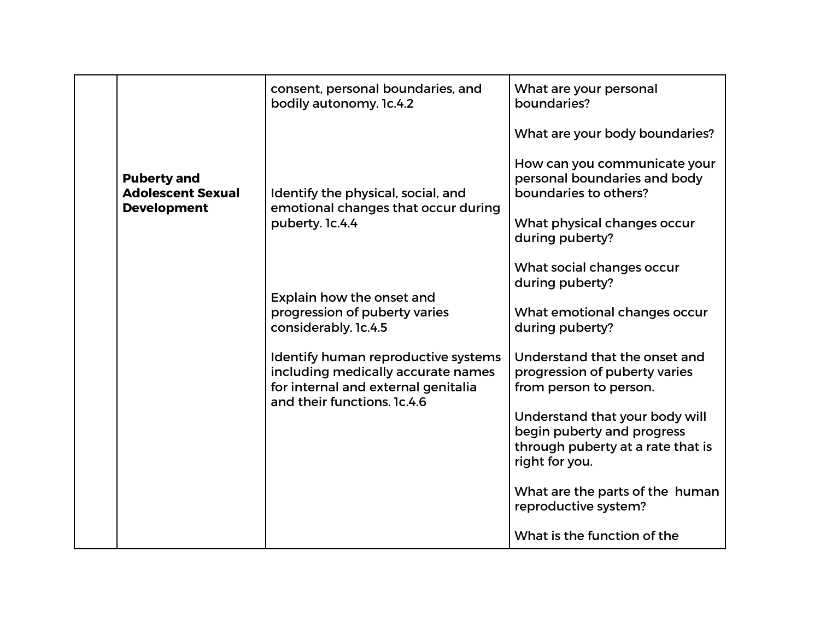|                                                                      | consent, personal boundaries, and<br>bodily autonomy. 1c.4.2                                                                                    | What are your personal<br>boundaries?                                                                               |
|----------------------------------------------------------------------|-------------------------------------------------------------------------------------------------------------------------------------------------|---------------------------------------------------------------------------------------------------------------------|
|                                                                      |                                                                                                                                                 | What are your body boundaries?                                                                                      |
| <b>Puberty and</b><br><b>Adolescent Sexual</b><br><b>Development</b> | Identify the physical, social, and<br>emotional changes that occur during                                                                       | How can you communicate your<br>personal boundaries and body<br>boundaries to others?                               |
|                                                                      | puberty. 1c.4.4                                                                                                                                 | What physical changes occur<br>during puberty?                                                                      |
|                                                                      |                                                                                                                                                 | What social changes occur<br>during puberty?                                                                        |
|                                                                      | Explain how the onset and<br>progression of puberty varies<br>considerably. 1c.4.5                                                              | What emotional changes occur<br>during puberty?                                                                     |
|                                                                      | Identify human reproductive systems<br>including medically accurate names<br>for internal and external genitalia<br>and their functions. 1c.4.6 | Understand that the onset and<br>progression of puberty varies<br>from person to person.                            |
|                                                                      |                                                                                                                                                 | Understand that your body will<br>begin puberty and progress<br>through puberty at a rate that is<br>right for you. |
|                                                                      |                                                                                                                                                 | What are the parts of the human<br>reproductive system?                                                             |
|                                                                      |                                                                                                                                                 | What is the function of the                                                                                         |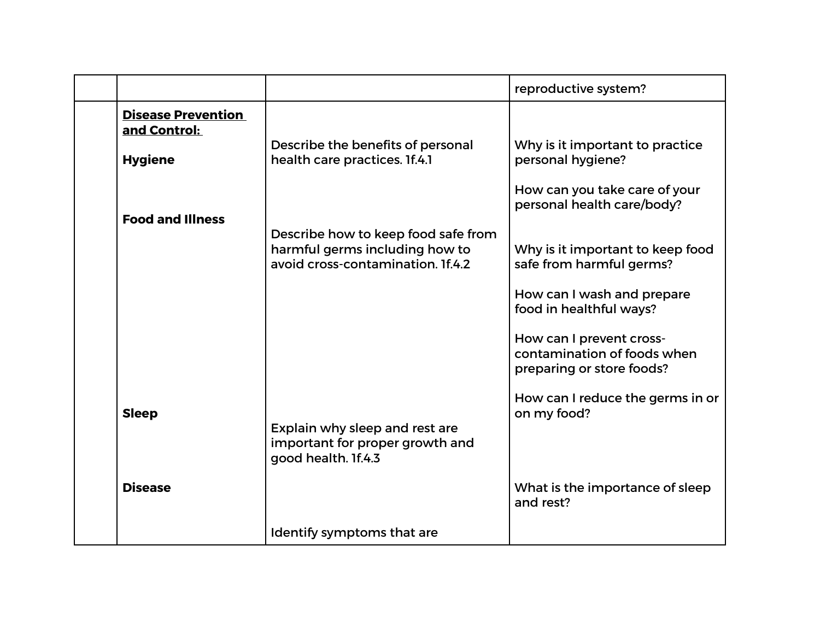|                                           |                                                                                                            | reproductive system?                                                                 |
|-------------------------------------------|------------------------------------------------------------------------------------------------------------|--------------------------------------------------------------------------------------|
| <b>Disease Prevention</b><br>and Control: |                                                                                                            |                                                                                      |
| <b>Hygiene</b>                            | Describe the benefits of personal<br>health care practices. If.4.1                                         | Why is it important to practice<br>personal hygiene?                                 |
|                                           |                                                                                                            | How can you take care of your<br>personal health care/body?                          |
| <b>Food and Illness</b>                   |                                                                                                            |                                                                                      |
|                                           | Describe how to keep food safe from<br>harmful germs including how to<br>avoid cross-contamination. If.4.2 | Why is it important to keep food<br>safe from harmful germs?                         |
|                                           |                                                                                                            | How can I wash and prepare<br>food in healthful ways?                                |
|                                           |                                                                                                            | How can I prevent cross-<br>contamination of foods when<br>preparing or store foods? |
| <b>Sleep</b>                              | Explain why sleep and rest are<br>important for proper growth and                                          | How can I reduce the germs in or<br>on my food?                                      |
|                                           | good health. If.4.3                                                                                        |                                                                                      |
| <b>Disease</b>                            |                                                                                                            | What is the importance of sleep<br>and rest?                                         |
|                                           | Identify symptoms that are                                                                                 |                                                                                      |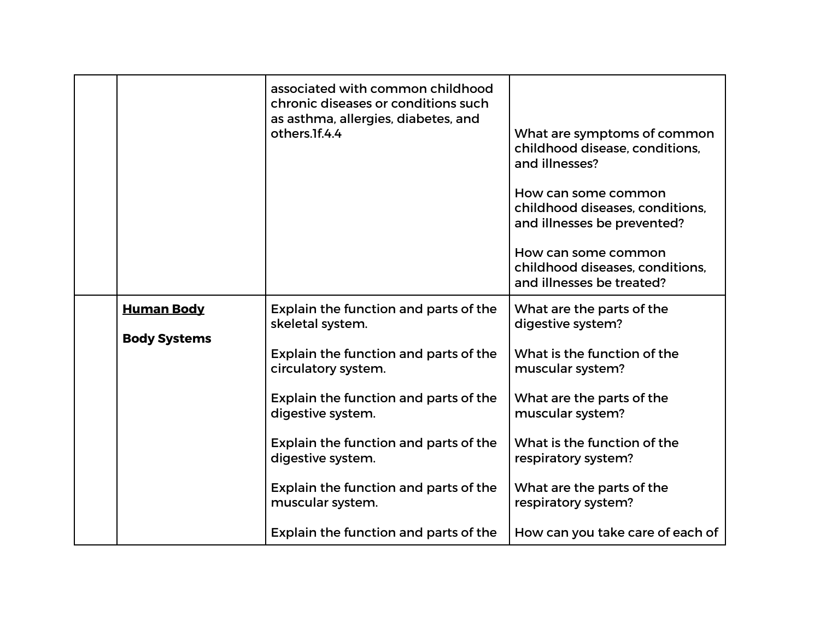|                     | associated with common childhood<br>chronic diseases or conditions such<br>as asthma, allergies, diabetes, and<br>others.1f.4.4 | What are symptoms of common<br>childhood disease, conditions,<br>and illnesses?<br>How can some common<br>childhood diseases, conditions,<br>and illnesses be prevented?<br>How can some common<br>childhood diseases, conditions,<br>and illnesses be treated? |
|---------------------|---------------------------------------------------------------------------------------------------------------------------------|-----------------------------------------------------------------------------------------------------------------------------------------------------------------------------------------------------------------------------------------------------------------|
| <b>Human Body</b>   | Explain the function and parts of the<br>skeletal system.                                                                       | What are the parts of the<br>digestive system?                                                                                                                                                                                                                  |
| <b>Body Systems</b> | Explain the function and parts of the<br>circulatory system.                                                                    | What is the function of the<br>muscular system?                                                                                                                                                                                                                 |
|                     | Explain the function and parts of the<br>digestive system.                                                                      | What are the parts of the<br>muscular system?                                                                                                                                                                                                                   |
|                     | Explain the function and parts of the<br>digestive system.                                                                      | What is the function of the<br>respiratory system?                                                                                                                                                                                                              |
|                     | Explain the function and parts of the<br>muscular system.                                                                       | What are the parts of the<br>respiratory system?                                                                                                                                                                                                                |
|                     | Explain the function and parts of the                                                                                           | How can you take care of each of                                                                                                                                                                                                                                |